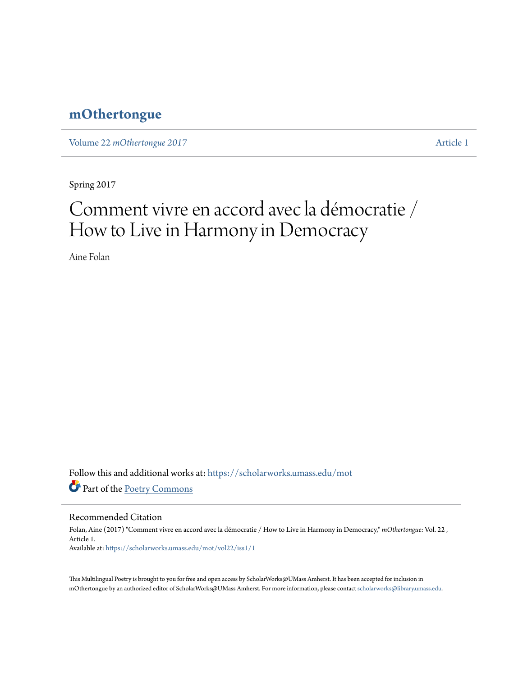# **[mOthertongue](https://scholarworks.umass.edu/mot?utm_source=scholarworks.umass.edu%2Fmot%2Fvol22%2Fiss1%2F1&utm_medium=PDF&utm_campaign=PDFCoverPages)**

Volume 22 *mOthertongue* 2017 [Article 1](https://scholarworks.umass.edu/mot/vol22/iss1/1?utm_source=scholarworks.umass.edu%2Fmot%2Fvol22%2Fiss1%2F1&utm_medium=PDF&utm_campaign=PDFCoverPages)

Spring 2017

# Comment vivre en accord avec la démocratie / How to Live in Harmony in Democracy

Aine Folan

Follow this and additional works at: [https://scholarworks.umass.edu/mot](https://scholarworks.umass.edu/mot?utm_source=scholarworks.umass.edu%2Fmot%2Fvol22%2Fiss1%2F1&utm_medium=PDF&utm_campaign=PDFCoverPages) Part of the [Poetry Commons](http://network.bepress.com/hgg/discipline/1153?utm_source=scholarworks.umass.edu%2Fmot%2Fvol22%2Fiss1%2F1&utm_medium=PDF&utm_campaign=PDFCoverPages)

#### Recommended Citation

Folan, Aine (2017) "Comment vivre en accord avec la démocratie / How to Live in Harmony in Democracy," *mOthertongue*: Vol. 22 , Article 1. Available at: [https://scholarworks.umass.edu/mot/vol22/iss1/1](https://scholarworks.umass.edu/mot/vol22/iss1/1?utm_source=scholarworks.umass.edu%2Fmot%2Fvol22%2Fiss1%2F1&utm_medium=PDF&utm_campaign=PDFCoverPages)

This Multilingual Poetry is brought to you for free and open access by ScholarWorks@UMass Amherst. It has been accepted for inclusion in mOthertongue by an authorized editor of ScholarWorks@UMass Amherst. For more information, please contact [scholarworks@library.umass.edu](mailto:scholarworks@library.umass.edu).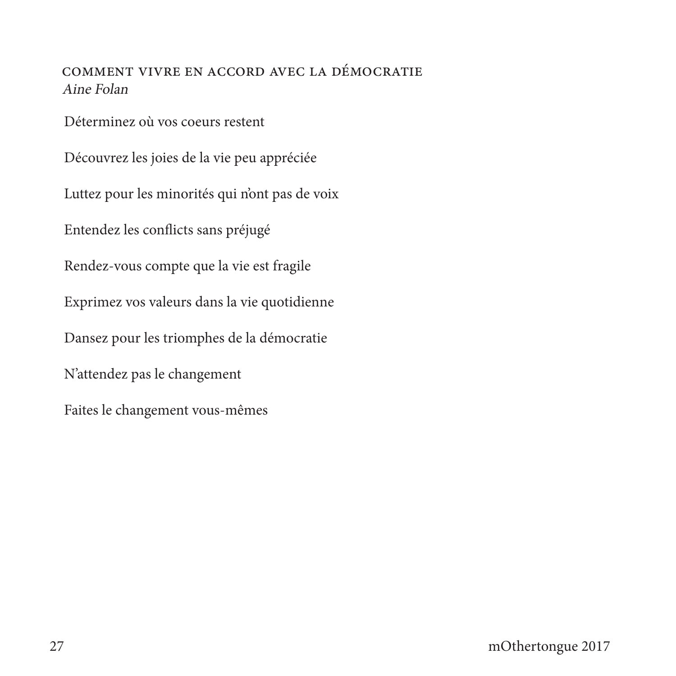## COMMENT VIVRE EN ACCORD AVEC LA DÉMOCRATIE Aine Folan

Déterminez où vos coeurs restent

Découvrez les joies de la vie peu appréciée Luttez pour les minorités qui n'ont pas de voix Entendez les conflicts sans préjugé Rendez-vous compte que la vie est fragile Exprimez vos valeurs dans la vie quotidienne Dansez pour les triomphes de la démocratie N'attendez pas le changement Faites le changement vous-mêmes